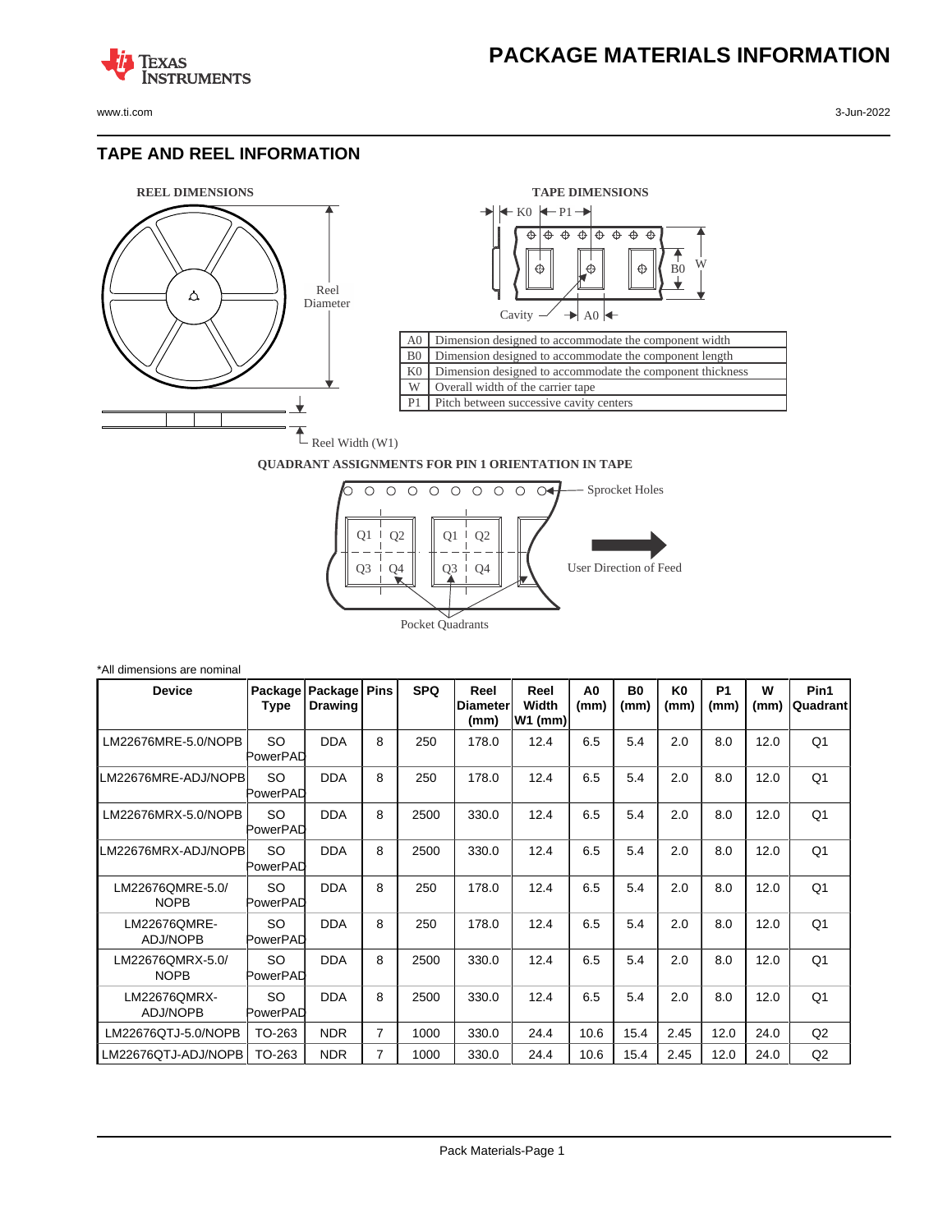www.ti.com 3-Jun-2022

**TEXAS** 

#### **TAPE AND REEL INFORMATION**

**ISTRUMENTS** 





#### **QUADRANT ASSIGNMENTS FOR PIN 1 ORIENTATION IN TAPE**



| *All dimensions are nominal     |                 |                           |             |            |                                  |                            |            |                   |                        |                   |           |                   |
|---------------------------------|-----------------|---------------------------|-------------|------------|----------------------------------|----------------------------|------------|-------------------|------------------------|-------------------|-----------|-------------------|
| <b>Device</b>                   | Package<br>Type | Package<br><b>Drawing</b> | <b>Pins</b> | <b>SPQ</b> | Reel<br><b>IDiameter</b><br>(mm) | Reel<br>Width<br>$W1$ (mm) | A0<br>(mm) | <b>B0</b><br>(mm) | K <sub>0</sub><br>(mm) | <b>P1</b><br>(mm) | W<br>(mm) | Pin1<br> Quadrant |
| LM22676MRE-5.0/NOPB             | SO<br>PowerPAD  | <b>DDA</b>                | 8           | 250        | 178.0                            | 12.4                       | 6.5        | 5.4               | 2.0                    | 8.0               | 12.0      | Q <sub>1</sub>    |
| LM22676MRE-ADJ/NOPB             | SO<br>PowerPAD  | <b>DDA</b>                | 8           | 250        | 178.0                            | 12.4                       | 6.5        | 5.4               | 2.0                    | 8.0               | 12.0      | Q <sub>1</sub>    |
| LM22676MRX-5.0/NOPB             | SO<br>PowerPAD  | <b>DDA</b>                | 8           | 2500       | 330.0                            | 12.4                       | 6.5        | 5.4               | 2.0                    | 8.0               | 12.0      | Q <sub>1</sub>    |
| LM22676MRX-ADJ/NOPBI            | SO<br>PowerPAD  | <b>DDA</b>                | 8           | 2500       | 330.0                            | 12.4                       | 6.5        | 5.4               | 2.0                    | 8.0               | 12.0      | Q <sub>1</sub>    |
| LM22676QMRE-5.0/<br><b>NOPB</b> | SO<br>PowerPAD  | <b>DDA</b>                | 8           | 250        | 178.0                            | 12.4                       | 6.5        | 5.4               | 2.0                    | 8.0               | 12.0      | Q <sub>1</sub>    |
| LM22676QMRE-<br><b>ADJ/NOPB</b> | SO<br>PowerPAD  | <b>DDA</b>                | 8           | 250        | 178.0                            | 12.4                       | 6.5        | 5.4               | 2.0                    | 8.0               | 12.0      | Q <sub>1</sub>    |
| LM22676QMRX-5.0/<br><b>NOPB</b> | SO.<br>PowerPAD | <b>DDA</b>                | 8           | 2500       | 330.0                            | 12.4                       | 6.5        | 5.4               | 2.0                    | 8.0               | 12.0      | Q1                |
| LM22676QMRX-<br><b>ADJ/NOPB</b> | SO<br>PowerPAD  | <b>DDA</b>                | 8           | 2500       | 330.0                            | 12.4                       | 6.5        | 5.4               | 2.0                    | 8.0               | 12.0      | Q <sub>1</sub>    |
| LM22676QTJ-5.0/NOPB             | TO-263          | <b>NDR</b>                | 7           | 1000       | 330.0                            | 24.4                       | 10.6       | 15.4              | 2.45                   | 12.0              | 24.0      | Q <sub>2</sub>    |
| LM22676QTJ-ADJ/NOPB             | TO-263          | <b>NDR</b>                | 7           | 1000       | 330.0                            | 24.4                       | 10.6       | 15.4              | 2.45                   | 12.0              | 24.0      | Q2                |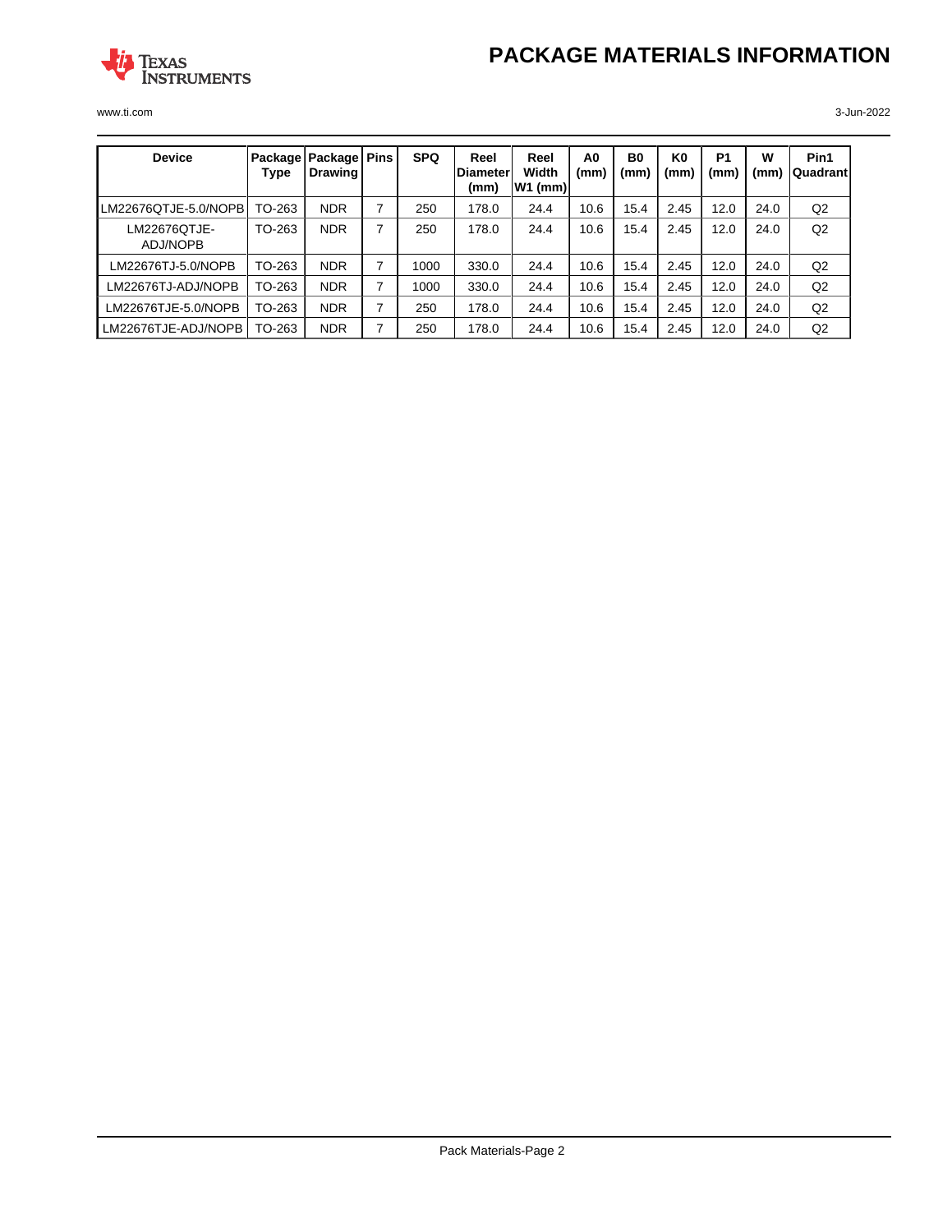# **PACKAGE MATERIALS INFORMATION**



www.ti.com 3-Jun-2022

| <b>Device</b>            | Type   | Package   Package   Pins<br>Drawing |   | <b>SPQ</b> | Reel<br><b>IDiameter</b><br>(mm) | Reel<br>Width<br> W1 (mm) | A <sub>0</sub><br>(mm) | B <sub>0</sub><br>(mm) | K0<br>(mm) | P <sub>1</sub><br>(mm) | W<br>(mm) | Pin1<br>lQuadrant l |
|--------------------------|--------|-------------------------------------|---|------------|----------------------------------|---------------------------|------------------------|------------------------|------------|------------------------|-----------|---------------------|
| LM22676QTJE-5.0/NOPB     | TO-263 | <b>NDR</b>                          | 7 | 250        | 178.0                            | 24.4                      | 10.6                   | 15.4                   | 2.45       | 12.0                   | 24.0      | Q2                  |
| LM22676QTJE-<br>ADJ/NOPB | TO-263 | <b>NDR</b>                          |   | 250        | 178.0                            | 24.4                      | 10.6                   | 15.4                   | 2.45       | 12.0                   | 24.0      | Q2                  |
| LM22676TJ-5.0/NOPB       | TO-263 | <b>NDR</b>                          | 7 | 1000       | 330.0                            | 24.4                      | 10.6                   | 15.4                   | 2.45       | 12.0                   | 24.0      | Q2                  |
| LM22676TJ-ADJ/NOPB       | TO-263 | <b>NDR</b>                          |   | 1000       | 330.0                            | 24.4                      | 10.6                   | 15.4                   | 2.45       | 12.0                   | 24.0      | Q2                  |
| LM22676TJE-5.0/NOPB      | TO-263 | <b>NDR</b>                          |   | 250        | 178.0                            | 24.4                      | 10.6                   | 15.4                   | 2.45       | 12.0                   | 24.0      | Q2                  |
| LM22676TJE-ADJ/NOPB      | TO-263 | <b>NDR</b>                          |   | 250        | 178.0                            | 24.4                      | 10.6                   | 15.4                   | 2.45       | 12.0                   | 24.0      | Q <sub>2</sub>      |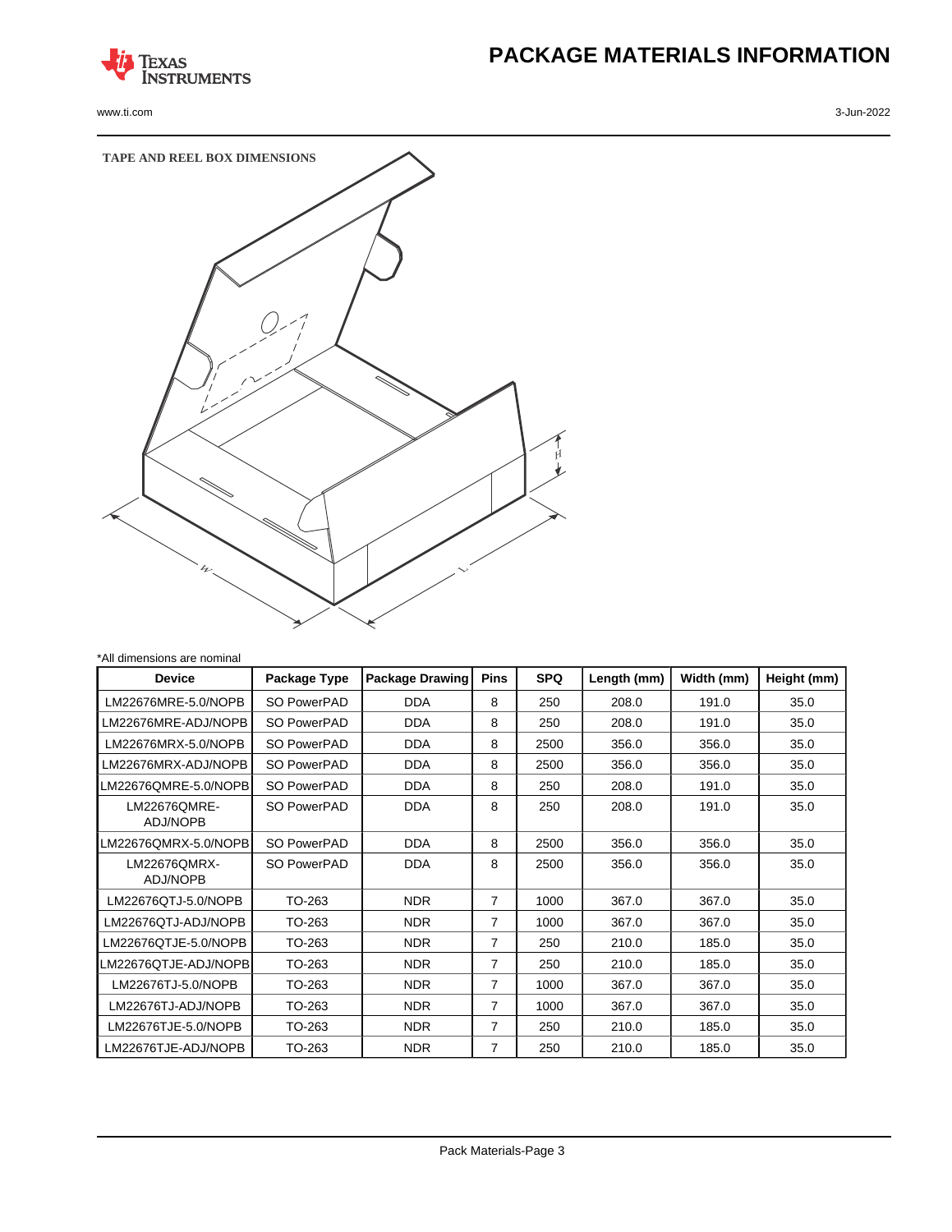

www.ti.com 3-Jun-2022

# **PACKAGE MATERIALS INFORMATION**



| <b>Device</b>                   | Package Type | <b>Package Drawing</b> | <b>Pins</b> | <b>SPQ</b> | Length (mm) | Width (mm) | Height (mm) |
|---------------------------------|--------------|------------------------|-------------|------------|-------------|------------|-------------|
| LM22676MRE-5.0/NOPB             | SO PowerPAD  | <b>DDA</b>             | 8           | 250        | 208.0       | 191.0      | 35.0        |
| LM22676MRE-ADJ/NOPB             | SO PowerPAD  | <b>DDA</b>             | 8           | 250        | 208.0       | 191.0      | 35.0        |
| LM22676MRX-5.0/NOPB             | SO PowerPAD  | <b>DDA</b>             | 8           | 2500       | 356.0       | 356.0      | 35.0        |
| LM22676MRX-ADJ/NOPB             | SO PowerPAD  | <b>DDA</b>             | 8           | 2500       | 356.0       | 356.0      | 35.0        |
| LM22676OMRE-5.0/NOPBI           | SO PowerPAD  | <b>DDA</b>             | 8           | 250        | 208.0       | 191.0      | 35.0        |
| LM22676QMRE-<br><b>ADJ/NOPB</b> | SO PowerPAD  | <b>DDA</b>             | 8           | 250        | 208.0       | 191.0      | 35.0        |
| LM22676QMRX-5.0/NOPB            | SO PowerPAD  | <b>DDA</b>             | 8           | 2500       | 356.0       | 356.0      | 35.0        |
| LM22676QMRX-<br><b>ADJ/NOPB</b> | SO PowerPAD  | <b>DDA</b>             | 8           | 2500       | 356.0       | 356.0      | 35.0        |
| LM22676QTJ-5.0/NOPB             | TO-263       | <b>NDR</b>             | 7           | 1000       | 367.0       | 367.0      | 35.0        |
| LM22676QTJ-ADJ/NOPB             | TO-263       | <b>NDR</b>             | 7           | 1000       | 367.0       | 367.0      | 35.0        |
| LM22676QTJE-5.0/NOPB            | TO-263       | <b>NDR</b>             | 7           | 250        | 210.0       | 185.0      | 35.0        |
| M22676QTJE-ADJ/NOPB <b>I</b> -  | TO-263       | <b>NDR</b>             | 7           | 250        | 210.0       | 185.0      | 35.0        |
| LM22676TJ-5.0/NOPB              | TO-263       | <b>NDR</b>             | 7           | 1000       | 367.0       | 367.0      | 35.0        |
| LM22676TJ-ADJ/NOPB              | TO-263       | <b>NDR</b>             | 7           | 1000       | 367.0       | 367.0      | 35.0        |
| LM22676TJE-5.0/NOPB             | TO-263       | <b>NDR</b>             | 7           | 250        | 210.0       | 185.0      | 35.0        |
| LM22676TJE-ADJ/NOPB             | TO-263       | <b>NDR</b>             | 7           | 250        | 210.0       | 185.0      | 35.0        |